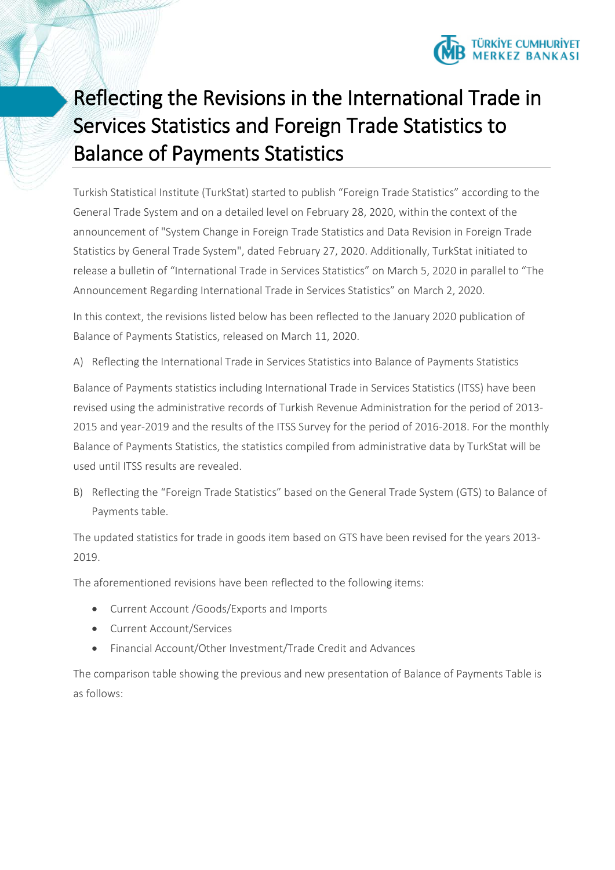

## Reflecting the Revisions in the International Trade in Services Statistics and Foreign Trade Statistics to Balance of Payments Statistics

Turkish Statistical Institute (TurkStat) started to publish "Foreign Trade Statistics" according to the General Trade System and on a detailed level on February 28, 2020, within the context of the announcement of "System Change in Foreign Trade Statistics and Data Revision in Foreign Trade Statistics by General Trade System", dated February 27, 2020. Additionally, TurkStat initiated to release a bulletin of "International Trade in Services Statistics" on March 5, 2020 in parallel to "The Announcement Regarding International Trade in Services Statistics" on March 2, 2020.

In this context, the revisions listed below has been reflected to the January 2020 publication of Balance of Payments Statistics, released on March 11, 2020.

A) Reflecting the International Trade in Services Statistics into Balance of Payments Statistics

Balance of Payments statistics including International Trade in Services Statistics (ITSS) have been revised using the administrative records of Turkish Revenue Administration for the period of 2013- 2015 and year-2019 and the results of the ITSS Survey for the period of 2016-2018. For the monthly Balance of Payments Statistics, the statistics compiled from administrative data by TurkStat will be used until ITSS results are revealed.

B) Reflecting the "Foreign Trade Statistics" based on the General Trade System (GTS) to Balance of Payments table.

The updated statistics for trade in goods item based on GTS have been revised for the years 2013- 2019.

The aforementioned revisions have been reflected to the following items:

- Current Account /Goods/Exports and Imports
- Current Account/Services
- Financial Account/Other Investment/Trade Credit and Advances

The comparison table showing the previous and new presentation of Balance of Payments Table is as follows: